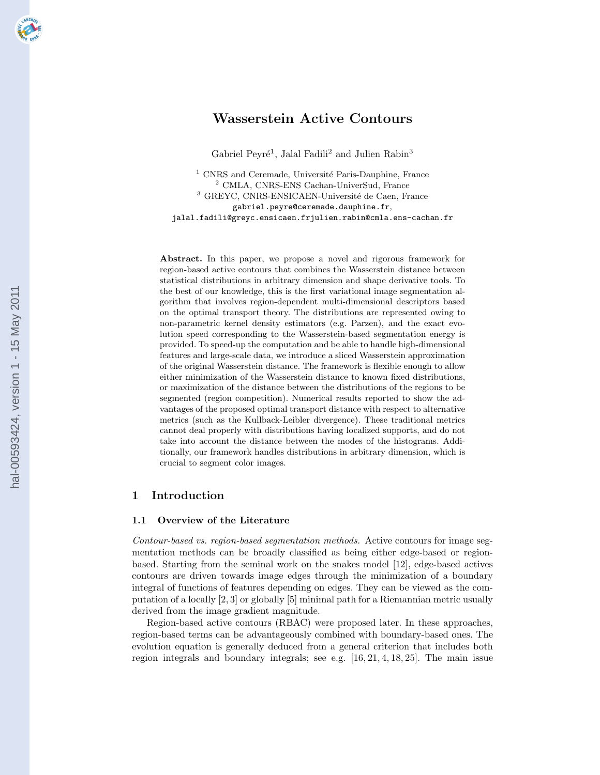# Wasserstein Active Contours

Gabriel Peyré<sup>1</sup>, Jalal Fadili<sup>2</sup> and Julien Rabin<sup>3</sup>

 $1$  CNRS and Ceremade, Université Paris-Dauphine, France <sup>2</sup> CMLA, CNRS-ENS Cachan-UniverSud, France  $^3$  GREYC, CNRS-ENSICAEN-Université de Caen, France gabriel.peyre@ceremade.dauphine.fr, jalal.fadili@greyc.ensicaen.frjulien.rabin@cmla.ens-cachan.fr

Abstract. In this paper, we propose a novel and rigorous framework for region-based active contours that combines the Wasserstein distance between statistical distributions in arbitrary dimension and shape derivative tools. To the best of our knowledge, this is the first variational image segmentation algorithm that involves region-dependent multi-dimensional descriptors based on the optimal transport theory. The distributions are represented owing to non-parametric kernel density estimators (e.g. Parzen), and the exact evolution speed corresponding to the Wasserstein-based segmentation energy is provided. To speed-up the computation and be able to handle high-dimensional features and large-scale data, we introduce a sliced Wasserstein approximation of the original Wasserstein distance. The framework is flexible enough to allow either minimization of the Wasserstein distance to known fixed distributions, or maximization of the distance between the distributions of the regions to be segmented (region competition). Numerical results reported to show the advantages of the proposed optimal transport distance with respect to alternative metrics (such as the Kullback-Leibler divergence). These traditional metrics cannot deal properly with distributions having localized supports, and do not take into account the distance between the modes of the histograms. Additionally, our framework handles distributions in arbitrary dimension, which is crucial to segment color images.

## 1 Introduction

## 1.1 Overview of the Literature

Contour-based vs. region-based segmentation methods. Active contours for image segmentation methods can be broadly classified as being either edge-based or regionbased. Starting from the seminal work on the snakes model [12], edge-based actives contours are driven towards image edges through the minimization of a boundary integral of functions of features depending on edges. They can be viewed as the computation of a locally [2, 3] or globally [5] minimal path for a Riemannian metric usually derived from the image gradient magnitude.

Region-based active contours (RBAC) were proposed later. In these approaches, region-based terms can be advantageously combined with boundary-based ones. The evolution equation is generally deduced from a general criterion that includes both region integrals and boundary integrals; see e.g. [16, 21, 4, 18, 25]. The main issue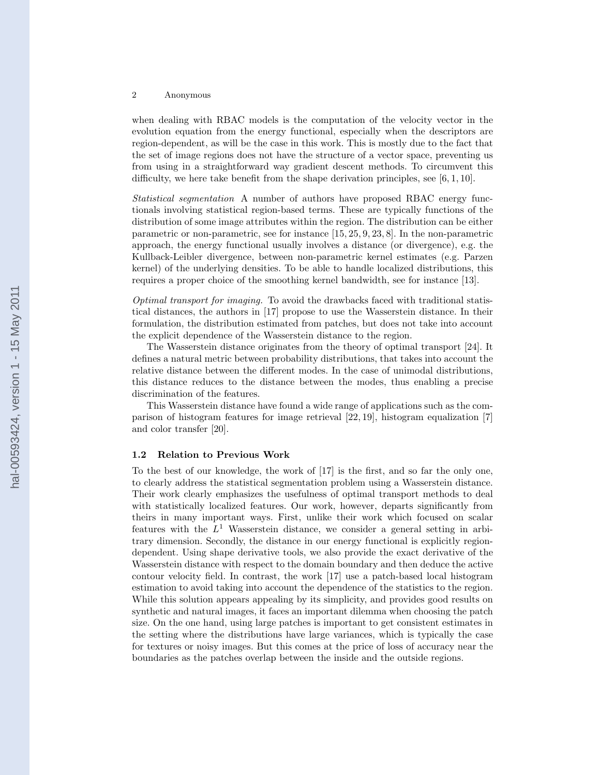when dealing with RBAC models is the computation of the velocity vector in the evolution equation from the energy functional, especially when the descriptors are region-dependent, as will be the case in this work. This is mostly due to the fact that the set of image regions does not have the structure of a vector space, preventing us from using in a straightforward way gradient descent methods. To circumvent this difficulty, we here take benefit from the shape derivation principles, see [6, 1, 10].

Statistical segmentation A number of authors have proposed RBAC energy functionals involving statistical region-based terms. These are typically functions of the distribution of some image attributes within the region. The distribution can be either parametric or non-parametric, see for instance [15, 25, 9, 23, 8]. In the non-parametric approach, the energy functional usually involves a distance (or divergence), e.g. the Kullback-Leibler divergence, between non-parametric kernel estimates (e.g. Parzen kernel) of the underlying densities. To be able to handle localized distributions, this requires a proper choice of the smoothing kernel bandwidth, see for instance [13].

Optimal transport for imaging. To avoid the drawbacks faced with traditional statistical distances, the authors in [17] propose to use the Wasserstein distance. In their formulation, the distribution estimated from patches, but does not take into account the explicit dependence of the Wasserstein distance to the region.

The Wasserstein distance originates from the theory of optimal transport [24]. It defines a natural metric between probability distributions, that takes into account the relative distance between the different modes. In the case of unimodal distributions, this distance reduces to the distance between the modes, thus enabling a precise discrimination of the features.

This Wasserstein distance have found a wide range of applications such as the comparison of histogram features for image retrieval [22, 19], histogram equalization [7] and color transfer [20].

## 1.2 Relation to Previous Work

To the best of our knowledge, the work of [17] is the first, and so far the only one, to clearly address the statistical segmentation problem using a Wasserstein distance. Their work clearly emphasizes the usefulness of optimal transport methods to deal with statistically localized features. Our work, however, departs significantly from theirs in many important ways. First, unlike their work which focused on scalar features with the  $L^1$  Wasserstein distance, we consider a general setting in arbitrary dimension. Secondly, the distance in our energy functional is explicitly regiondependent. Using shape derivative tools, we also provide the exact derivative of the Wasserstein distance with respect to the domain boundary and then deduce the active contour velocity field. In contrast, the work [17] use a patch-based local histogram estimation to avoid taking into account the dependence of the statistics to the region. While this solution appears appealing by its simplicity, and provides good results on synthetic and natural images, it faces an important dilemma when choosing the patch size. On the one hand, using large patches is important to get consistent estimates in the setting where the distributions have large variances, which is typically the case for textures or noisy images. But this comes at the price of loss of accuracy near the boundaries as the patches overlap between the inside and the outside regions.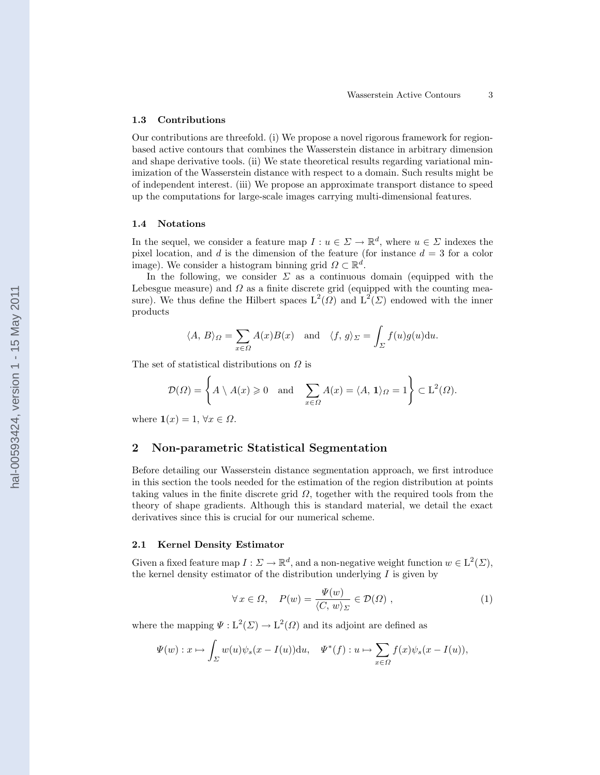## 1.3 Contributions

Our contributions are threefold. (i) We propose a novel rigorous framework for regionbased active contours that combines the Wasserstein distance in arbitrary dimension and shape derivative tools. (ii) We state theoretical results regarding variational minimization of the Wasserstein distance with respect to a domain. Such results might be of independent interest. (iii) We propose an approximate transport distance to speed up the computations for large-scale images carrying multi-dimensional features.

## 1.4 Notations

In the sequel, we consider a feature map  $I: u \in \Sigma \to \mathbb{R}^d$ , where  $u \in \Sigma$  indexes the pixel location, and d is the dimension of the feature (for instance  $d = 3$  for a color image). We consider a histogram binning grid  $\Omega \subset \mathbb{R}^d$ .

In the following, we consider  $\Sigma$  as a continuous domain (equipped with the Lebesgue measure) and  $\Omega$  as a finite discrete grid (equipped with the counting measure). We thus define the Hilbert spaces  $L^2(\Omega)$  and  $L^2(\Sigma)$  endowed with the inner products

$$
\langle A, B \rangle_{\Omega} = \sum_{x \in \Omega} A(x)B(x)
$$
 and  $\langle f, g \rangle_{\Sigma} = \int_{\Sigma} f(u)g(u)du$ .

The set of statistical distributions on  $\Omega$  is

$$
\mathcal{D}(\Omega) = \left\{ A \setminus A(x) \geq 0 \quad \text{and} \quad \sum_{x \in \Omega} A(x) = \langle A, \mathbf{1} \rangle_{\Omega} = 1 \right\} \subset \mathbb{L}^2(\Omega).
$$

where  $\mathbf{1}(x) = 1, \forall x \in \Omega$ .

## 2 Non-parametric Statistical Segmentation

Before detailing our Wasserstein distance segmentation approach, we first introduce in this section the tools needed for the estimation of the region distribution at points taking values in the finite discrete grid  $\Omega$ , together with the required tools from the theory of shape gradients. Although this is standard material, we detail the exact derivatives since this is crucial for our numerical scheme.

## 2.1 Kernel Density Estimator

Given a fixed feature map  $I : \Sigma \to \mathbb{R}^d$ , and a non-negative weight function  $w \in L^2(\Sigma)$ , the kernel density estimator of the distribution underlying  $I$  is given by

$$
\forall x \in \Omega, \quad P(w) = \frac{\Psi(w)}{\langle C, w \rangle_{\Sigma}} \in \mathcal{D}(\Omega) ,
$$
 (1)

where the mapping  $\Psi: L^2(\Sigma) \to L^2(\Omega)$  and its adjoint are defined as

$$
\Psi(w): x \mapsto \int_{\Sigma} w(u)\psi_s(x - I(u))\mathrm{d}u, \quad \Psi^*(f): u \mapsto \sum_{x \in \Omega} f(x)\psi_s(x - I(u)),
$$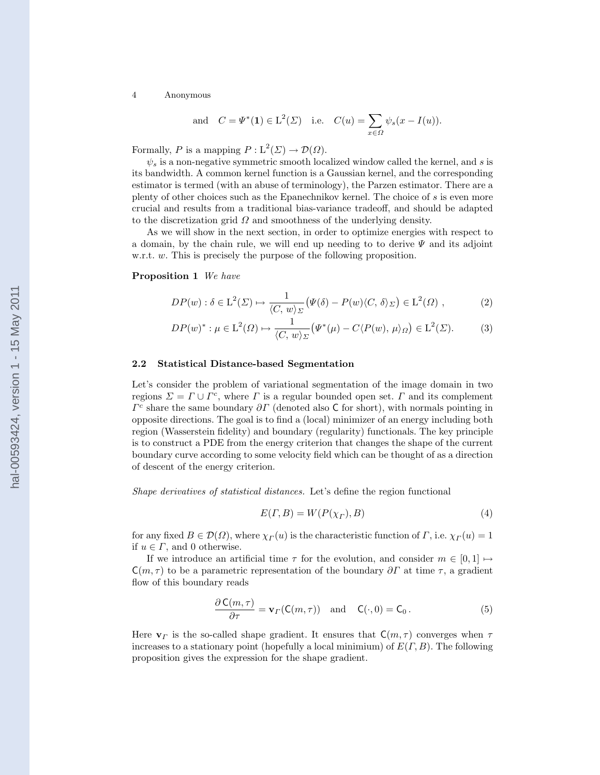and 
$$
C = \Psi^*(1) \in L^2(\Sigma)
$$
 i.e.  $C(u) = \sum_{x \in \Omega} \psi_s(x - I(u)).$ 

Formally, P is a mapping  $P: L^2(\Sigma) \to \mathcal{D}(\Omega)$ .

 $\psi_s$  is a non-negative symmetric smooth localized window called the kernel, and s is its bandwidth. A common kernel function is a Gaussian kernel, and the corresponding estimator is termed (with an abuse of terminology), the Parzen estimator. There are a plenty of other choices such as the Epanechnikov kernel. The choice of s is even more crucial and results from a traditional bias-variance tradeoff, and should be adapted to the discretization grid  $\Omega$  and smoothness of the underlying density.

As we will show in the next section, in order to optimize energies with respect to a domain, by the chain rule, we will end up needing to to derive  $\Psi$  and its adjoint w.r.t. w. This is precisely the purpose of the following proposition.

### Proposition 1 We have

$$
DP(w) : \delta \in L^{2}(\Sigma) \mapsto \frac{1}{\langle C, w \rangle_{\Sigma}} \big( \Psi(\delta) - P(w) \langle C, \delta \rangle_{\Sigma} \big) \in L^{2}(\Omega) , \tag{2}
$$

$$
DP(w)^{*}: \mu \in L^{2}(\Omega) \mapsto \frac{1}{\langle C, w \rangle_{\Sigma}} \big(\Psi^{*}(\mu) - C \langle P(w), \mu \rangle_{\Omega}\big) \in L^{2}(\Sigma). \tag{3}
$$

### 2.2 Statistical Distance-based Segmentation

Let's consider the problem of variational segmentation of the image domain in two regions  $\Sigma = \Gamma \cup \Gamma^c$ , where  $\Gamma$  is a regular bounded open set.  $\Gamma$  and its complement  $\Gamma^c$  share the same boundary  $\partial \Gamma$  (denoted also C for short), with normals pointing in opposite directions. The goal is to find a (local) minimizer of an energy including both region (Wasserstein fidelity) and boundary (regularity) functionals. The key principle is to construct a PDE from the energy criterion that changes the shape of the current boundary curve according to some velocity field which can be thought of as a direction of descent of the energy criterion.

Shape derivatives of statistical distances. Let's define the region functional

$$
E(\Gamma, B) = W(P(\chi_{\Gamma}), B) \tag{4}
$$

for any fixed  $B \in \mathcal{D}(\Omega)$ , where  $\chi_{\Gamma}(u)$  is the characteristic function of  $\Gamma$ , i.e.  $\chi_{\Gamma}(u) = 1$ if  $u \in \Gamma$ , and 0 otherwise.

If we introduce an artificial time  $\tau$  for the evolution, and consider  $m \in [0,1] \mapsto$  $C(m, \tau)$  to be a parametric representation of the boundary  $\partial \Gamma$  at time  $\tau$ , a gradient flow of this boundary reads

$$
\frac{\partial \mathsf{C}(m,\tau)}{\partial \tau} = \mathbf{v}_{\Gamma}(\mathsf{C}(m,\tau)) \quad \text{and} \quad \mathsf{C}(\cdot,0) = \mathsf{C}_0. \tag{5}
$$

Here  $\mathbf{v}_{\Gamma}$  is the so-called shape gradient. It ensures that  $C(m, \tau)$  converges when  $\tau$ increases to a stationary point (hopefully a local minimium) of  $E(\Gamma, B)$ . The following proposition gives the expression for the shape gradient.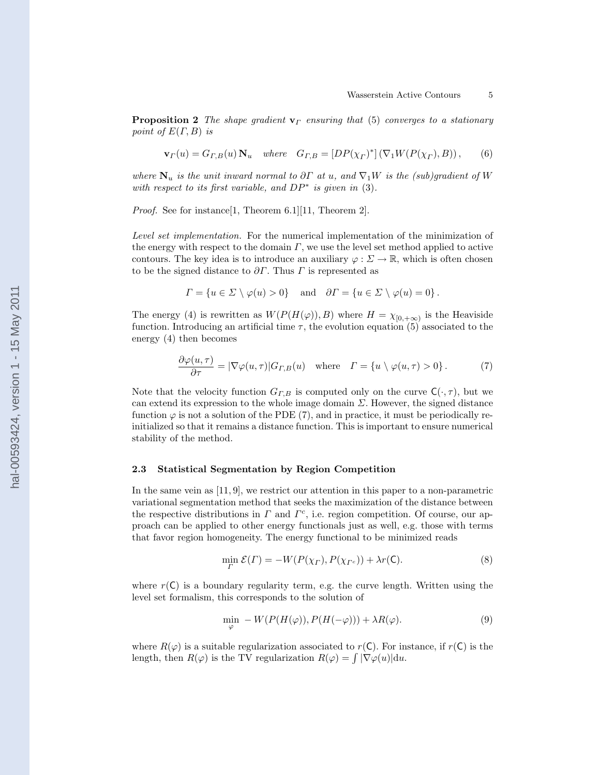**Proposition 2** The shape gradient  $\mathbf{v}_{\Gamma}$  ensuring that (5) converges to a stationary point of  $E(\Gamma, B)$  is

$$
\mathbf{v}_{\Gamma}(u) = G_{\Gamma,B}(u) \mathbf{N}_u \quad where \quad G_{\Gamma,B} = [DP(\chi_{\Gamma})^*] \left( \nabla_1 W(P(\chi_{\Gamma}), B) \right), \tag{6}
$$

where  $N_u$  is the unit inward normal to  $\partial \Gamma$  at u, and  $\nabla_1 W$  is the (sub)gradient of W with respect to its first variable, and  $DP^*$  is given in (3).

Proof. See for instance[1, Theorem 6.1][11, Theorem 2].

Level set implementation. For the numerical implementation of the minimization of the energy with respect to the domain  $\Gamma$ , we use the level set method applied to active contours. The key idea is to introduce an auxiliary  $\varphi : \Sigma \to \mathbb{R}$ , which is often chosen to be the signed distance to  $\partial \Gamma$ . Thus  $\Gamma$  is represented as

$$
\Gamma = \{ u \in \Sigma \setminus \varphi(u) > 0 \} \quad \text{and} \quad \partial \Gamma = \{ u \in \Sigma \setminus \varphi(u) = 0 \}.
$$

The energy (4) is rewritten as  $W(P(H(\varphi)), B)$  where  $H = \chi_{[0, +\infty)}$  is the Heaviside function. Introducing an artificial time  $\tau$ , the evolution equation (5) associated to the energy (4) then becomes

$$
\frac{\partial \varphi(u,\tau)}{\partial \tau} = |\nabla \varphi(u,\tau)| G_{\Gamma,B}(u) \quad \text{where} \quad \Gamma = \{u \setminus \varphi(u,\tau) > 0\}.
$$
 (7)

Note that the velocity function  $G_{\Gamma,B}$  is computed only on the curve  $C(\cdot, \tau)$ , but we can extend its expression to the whole image domain  $\Sigma$ . However, the signed distance function  $\varphi$  is not a solution of the PDE (7), and in practice, it must be periodically reinitialized so that it remains a distance function. This is important to ensure numerical stability of the method.

### 2.3 Statistical Segmentation by Region Competition

In the same vein as [11, 9], we restrict our attention in this paper to a non-parametric variational segmentation method that seeks the maximization of the distance between the respective distributions in  $\Gamma$  and  $\Gamma^c$ , i.e. region competition. Of course, our approach can be applied to other energy functionals just as well, e.g. those with terms that favor region homogeneity. The energy functional to be minimized reads

$$
\min_{\Gamma} \mathcal{E}(\Gamma) = -W(P(\chi_{\Gamma}), P(\chi_{\Gamma^c})) + \lambda r(\mathsf{C}).\tag{8}
$$

where  $r(\mathsf{C})$  is a boundary regularity term, e.g. the curve length. Written using the level set formalism, this corresponds to the solution of

$$
\min_{\varphi} -W(P(H(\varphi)), P(H(-\varphi))) + \lambda R(\varphi). \tag{9}
$$

where  $R(\varphi)$  is a suitable regularization associated to  $r(C)$ . For instance, if  $r(C)$  is the length, then  $R(\varphi)$  is the TV regularization  $R(\varphi) = \int |\nabla \varphi(u)| \, du$ .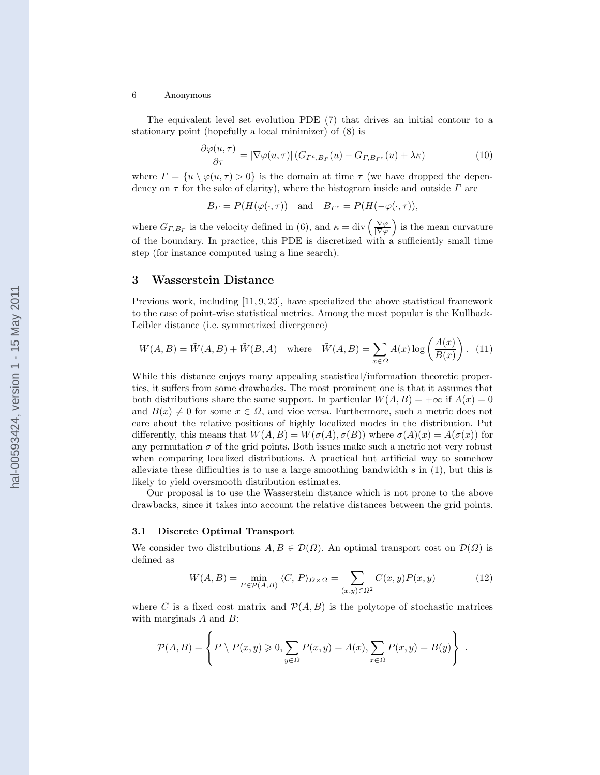The equivalent level set evolution PDE (7) that drives an initial contour to a stationary point (hopefully a local minimizer) of (8) is

$$
\frac{\partial \varphi(u,\tau)}{\partial \tau} = |\nabla \varphi(u,\tau)| \left( G_{\Gamma^c,B_{\Gamma}}(u) - G_{\Gamma,B_{\Gamma^c}}(u) + \lambda \kappa \right) \tag{10}
$$

where  $\Gamma = \{u \setminus \varphi(u, \tau) > 0\}$  is the domain at time  $\tau$  (we have dropped the dependency on  $\tau$  for the sake of clarity), where the histogram inside and outside  $\Gamma$  are

$$
B_{\Gamma} = P(H(\varphi(\cdot, \tau)) \text{ and } B_{\Gamma^c} = P(H(-\varphi(\cdot, \tau)),
$$

where  $G_{\Gamma,B_{\Gamma}}$  is the velocity defined in (6), and  $\kappa = \text{div}\left(\frac{\nabla \varphi}{|\nabla \varphi|}\right)$  is the mean curvature of the boundary. In practice, this PDE is discretized with a sufficiently small time step (for instance computed using a line search).

## 3 Wasserstein Distance

Previous work, including [11, 9, 23], have specialized the above statistical framework to the case of point-wise statistical metrics. Among the most popular is the Kullback-Leibler distance (i.e. symmetrized divergence)

$$
W(A, B) = \tilde{W}(A, B) + \tilde{W}(B, A) \quad \text{where} \quad \tilde{W}(A, B) = \sum_{x \in \Omega} A(x) \log \left( \frac{A(x)}{B(x)} \right). \tag{11}
$$

While this distance enjoys many appealing statistical/information theoretic properties, it suffers from some drawbacks. The most prominent one is that it assumes that both distributions share the same support. In particular  $W(A, B) = +\infty$  if  $A(x) = 0$ and  $B(x) \neq 0$  for some  $x \in \Omega$ , and vice versa. Furthermore, such a metric does not care about the relative positions of highly localized modes in the distribution. Put differently, this means that  $W(A, B) = W(\sigma(A), \sigma(B))$  where  $\sigma(A)(x) = A(\sigma(x))$  for any permutation  $\sigma$  of the grid points. Both issues make such a metric not very robust when comparing localized distributions. A practical but artificial way to somehow alleviate these difficulties is to use a large smoothing bandwidth  $s$  in (1), but this is likely to yield oversmooth distribution estimates.

Our proposal is to use the Wasserstein distance which is not prone to the above drawbacks, since it takes into account the relative distances between the grid points.

## 3.1 Discrete Optimal Transport

We consider two distributions  $A, B \in \mathcal{D}(\Omega)$ . An optimal transport cost on  $\mathcal{D}(\Omega)$  is defined as

$$
W(A,B) = \min_{P \in \mathcal{P}(A,B)} \langle C, P \rangle_{\Omega \times \Omega} = \sum_{(x,y) \in \Omega^2} C(x,y)P(x,y) \tag{12}
$$

where C is a fixed cost matrix and  $\mathcal{P}(A, B)$  is the polytope of stochastic matrices with marginals  $A$  and  $B$ :

$$
\mathcal{P}(A,B) = \left\{ P \setminus P(x,y) \geqslant 0, \sum_{y \in \Omega} P(x,y) = A(x), \sum_{x \in \Omega} P(x,y) = B(y) \right\}.
$$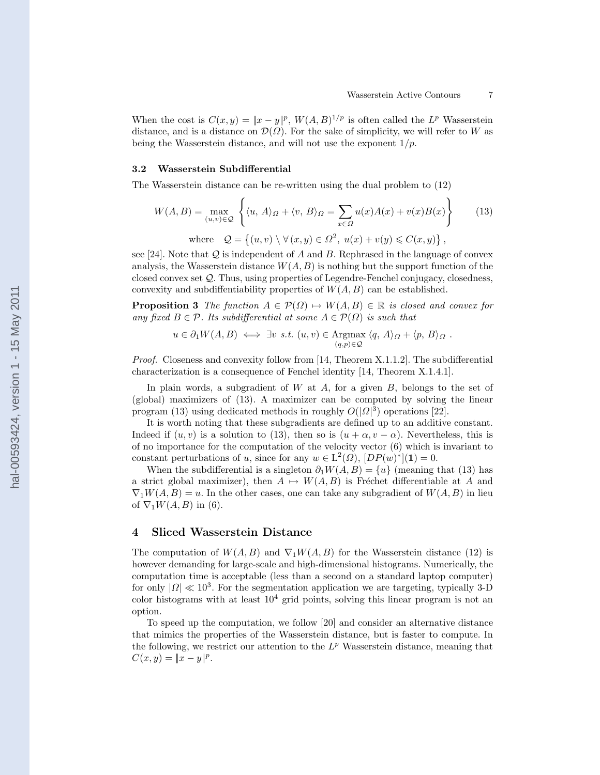When the cost is  $C(x, y) = ||x - y||^p$ ,  $W(A, B)^{1/p}$  is often called the L<sup>p</sup> Wasserstein distance, and is a distance on  $\mathcal{D}(\Omega)$ . For the sake of simplicity, we will refer to W as being the Wasserstein distance, and will not use the exponent  $1/p$ .

#### 3.2 Wasserstein Subdifferential

The Wasserstein distance can be re-written using the dual problem to (12)

$$
W(A, B) = \max_{(u,v)\in\mathcal{Q}} \left\{ \langle u, A\rangle_{\Omega} + \langle v, B\rangle_{\Omega} = \sum_{x\in\Omega} u(x)A(x) + v(x)B(x) \right\}
$$
 (13)  
where  $\mathcal{Q} = \left\{ (u, v) \setminus \forall (x, y) \in \Omega^2, u(x) + v(y) \le C(x, y) \right\},$ 

see [24]. Note that  $\mathcal Q$  is independent of A and B. Rephrased in the language of convex analysis, the Wasserstein distance  $W(A, B)$  is nothing but the support function of the closed convex set Q. Thus, using properties of Legendre-Fenchel conjugacy, closedness, convexity and subdiffentiability properties of  $W(A, B)$  can be established.

**Proposition 3** The function  $A \in \mathcal{P}(\Omega) \mapsto W(A, B) \in \mathbb{R}$  is closed and convex for any fixed  $B \in \mathcal{P}$ . Its subdifferential at some  $A \in \mathcal{P}(\Omega)$  is such that

$$
u \in \partial_1 W(A, B) \iff \exists v \ s.t. \ (u, v) \in \text{Argmax}_{(q, p) \in \mathcal{Q}} \langle q, A \rangle_{\Omega} + \langle p, B \rangle_{\Omega} .
$$

Proof. Closeness and convexity follow from [14, Theorem X.1.1.2]. The subdifferential characterization is a consequence of Fenchel identity [14, Theorem X.1.4.1].

In plain words, a subgradient of  $W$  at  $A$ , for a given  $B$ , belongs to the set of (global) maximizers of (13). A maximizer can be computed by solving the linear program (13) using dedicated methods in roughly  $O(|\Omega|^3)$  operations [22].

It is worth noting that these subgradients are defined up to an additive constant. Indeed if  $(u, v)$  is a solution to (13), then so is  $(u + \alpha, v - \alpha)$ . Nevertheless, this is of no importance for the computation of the velocity vector (6) which is invariant to constant perturbations of u, since for any  $w \in L^2(\Omega)$ ,  $[DP(w)^*](1) = 0$ .

When the subdifferential is a singleton  $\partial_1 W(A, B) = \{u\}$  (meaning that (13) has a strict global maximizer), then  $A \mapsto W(A, B)$  is Fréchet differentiable at A and  $\nabla_1 W(A, B) = u$ . In the other cases, one can take any subgradient of  $W(A, B)$  in lieu of  $\nabla_1 W(A, B)$  in (6).

## 4 Sliced Wasserstein Distance

The computation of  $W(A, B)$  and  $\nabla_1 W(A, B)$  for the Wasserstein distance (12) is however demanding for large-scale and high-dimensional histograms. Numerically, the computation time is acceptable (less than a second on a standard laptop computer) for only  $|\Omega| \ll 10^3$ . For the segmentation application we are targeting, typically 3-D color histograms with at least  $10<sup>4</sup>$  grid points, solving this linear program is not an option.

To speed up the computation, we follow [20] and consider an alternative distance that mimics the properties of the Wasserstein distance, but is faster to compute. In the following, we restrict our attention to the  $L^p$  Wasserstein distance, meaning that  $C(x, y) = ||x - y||^p.$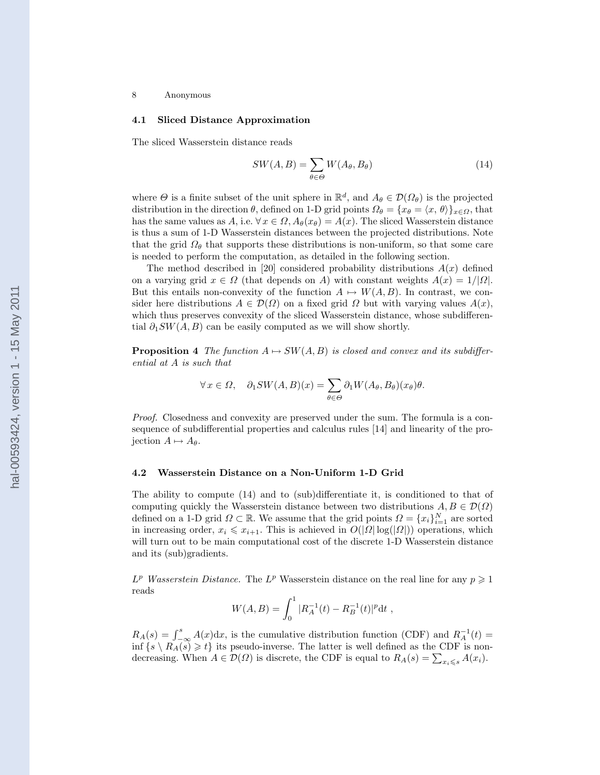### 4.1 Sliced Distance Approximation

The sliced Wasserstein distance reads

$$
SW(A, B) = \sum_{\theta \in \Theta} W(A_{\theta}, B_{\theta})
$$
\n(14)

where  $\Theta$  is a finite subset of the unit sphere in  $\mathbb{R}^d$ , and  $A_{\theta} \in \mathcal{D}(\Omega_{\theta})$  is the projected distribution in the direction  $\theta$ , defined on 1-D grid points  $\Omega_{\theta} = \{x_{\theta} = \langle x, \theta \rangle\}_{x \in \Omega}$ , that has the same values as A, i.e.  $\forall x \in \Omega$ ,  $A_{\theta}(x_{\theta}) = A(x)$ . The sliced Wasserstein distance is thus a sum of 1-D Wasserstein distances between the projected distributions. Note that the grid  $\Omega_{\theta}$  that supports these distributions is non-uniform, so that some care is needed to perform the computation, as detailed in the following section.

The method described in [20] considered probability distributions  $A(x)$  defined on a varying grid  $x \in \Omega$  (that depends on A) with constant weights  $A(x) = 1/|\Omega|$ . But this entails non-convexity of the function  $A \mapsto W(A, B)$ . In contrast, we consider here distributions  $A \in \mathcal{D}(\Omega)$  on a fixed grid  $\Omega$  but with varying values  $A(x)$ , which thus preserves convexity of the sliced Wasserstein distance, whose subdifferential  $\partial_1 SW(A, B)$  can be easily computed as we will show shortly.

**Proposition 4** The function  $A \mapsto SW(A, B)$  is closed and convex and its subdifferential at A is such that

$$
\forall x \in \Omega, \quad \partial_1 SW(A, B)(x) = \sum_{\theta \in \Theta} \partial_1 W(A_{\theta}, B_{\theta})(x_{\theta}) \theta.
$$

Proof. Closedness and convexity are preserved under the sum. The formula is a consequence of subdifferential properties and calculus rules [14] and linearity of the projection  $A \mapsto A_{\theta}$ .

### 4.2 Wasserstein Distance on a Non-Uniform 1-D Grid

The ability to compute (14) and to (sub)differentiate it, is conditioned to that of computing quickly the Wasserstein distance between two distributions  $A, B \in \mathcal{D}(\Omega)$ defined on a 1-D grid  $\Omega \subset \mathbb{R}$ . We assume that the grid points  $\Omega = \{x_i\}_{i=1}^N$  are sorted in increasing order,  $x_i \leq x_{i+1}$ . This is achieved in  $O(|\Omega| \log(|\Omega|))$  operations, which will turn out to be main computational cost of the discrete 1-D Wasserstein distance and its (sub)gradients.

 $L^p$  Wasserstein Distance. The  $L^p$  Wasserstein distance on the real line for any  $p \geq 1$ reads

$$
W(A, B) = \int_0^1 |R_A^{-1}(t) - R_B^{-1}(t)|^p dt,
$$

 $R_A(s) = \int_{-\infty}^s A(x) dx$ , is the cumulative distribution function (CDF) and  $R_A^{-1}(t) =$ inf  $\{s \setminus R_A(s) \geq t\}$  its pseudo-inverse. The latter is well defined as the CDF is nondecreasing. When  $A \in \mathcal{D}(\Omega)$  is discrete, the CDF is equal to  $R_A(s) = \sum_{x_i \leq s} A(x_i)$ .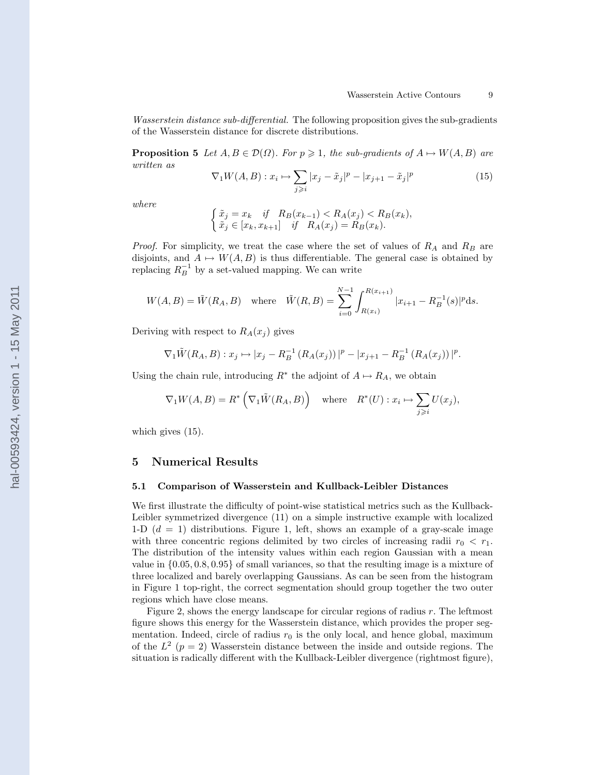Wasserstein distance sub-differential. The following proposition gives the sub-gradients of the Wasserstein distance for discrete distributions.

**Proposition 5** Let  $A, B \in \mathcal{D}(\Omega)$ . For  $p \geq 1$ , the sub-gradients of  $A \mapsto W(A, B)$  are written as

$$
\nabla_1 W(A, B) : x_i \mapsto \sum_{j \ge i} |x_j - \tilde{x}_j|^p - |x_{j+1} - \tilde{x}_j|^p \tag{15}
$$

where

$$
\begin{cases} \tilde{x}_j = x_k & \text{if } R_B(x_{k-1}) < R_A(x_j) < R_B(x_k), \\ \tilde{x}_j \in [x_k, x_{k+1}] & \text{if } R_A(x_j) = R_B(x_k). \end{cases}
$$

*Proof.* For simplicity, we treat the case where the set of values of  $R_A$  and  $R_B$  are disjoints, and  $A \mapsto W(A, B)$  is thus differentiable. The general case is obtained by replacing  $R_B^{-1}$  by a set-valued mapping. We can write

$$
W(A, B) = \tilde{W}(R_A, B) \quad \text{where} \quad \tilde{W}(R, B) = \sum_{i=0}^{N-1} \int_{R(x_i)}^{R(x_{i+1})} |x_{i+1} - R_B^{-1}(s)|^p \, ds.
$$

Deriving with respect to  $R_A(x_j)$  gives

$$
\nabla_1 \tilde{W}(R_A, B) : x_j \mapsto |x_j - R_B^{-1} (R_A(x_j)) |^p - |x_{j+1} - R_B^{-1} (R_A(x_j)) |^p.
$$

Using the chain rule, introducing  $R^*$  the adjoint of  $A \mapsto R_A$ , we obtain

$$
\nabla_1 W(A, B) = R^* \left( \nabla_1 \tilde{W}(R_A, B) \right) \quad \text{where} \quad R^*(U) : x_i \mapsto \sum_{j \ge i} U(x_j),
$$

which gives  $(15)$ .

## 5 Numerical Results

### 5.1 Comparison of Wasserstein and Kullback-Leibler Distances

We first illustrate the difficulty of point-wise statistical metrics such as the Kullback-Leibler symmetrized divergence (11) on a simple instructive example with localized 1-D  $(d = 1)$  distributions. Figure 1, left, shows an example of a gray-scale image with three concentric regions delimited by two circles of increasing radii  $r_0 < r_1$ . The distribution of the intensity values within each region Gaussian with a mean value in {0.05, 0.8, 0.95} of small variances, so that the resulting image is a mixture of three localized and barely overlapping Gaussians. As can be seen from the histogram in Figure 1 top-right, the correct segmentation should group together the two outer regions which have close means.

Figure 2, shows the energy landscape for circular regions of radius r. The leftmost figure shows this energy for the Wasserstein distance, which provides the proper segmentation. Indeed, circle of radius  $r_0$  is the only local, and hence global, maximum of the  $L^2$  ( $p = 2$ ) Wasserstein distance between the inside and outside regions. The situation is radically different with the Kullback-Leibler divergence (rightmost figure),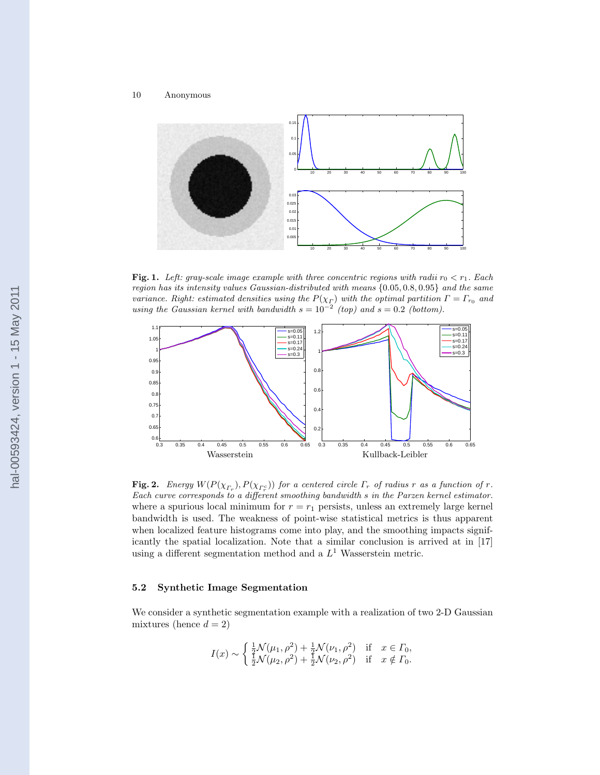

**Fig. 1.** Left: gray-scale image example with three concentric regions with radii  $r_0 < r_1$ . Each region has its intensity values Gaussian-distributed with means {0.05, 0.8, 0.95} and the same variance. Right: estimated densities using the  $P(\chi_{\Gamma})$  with the optimal partition  $\Gamma = \Gamma_{r_0}$  and using the Gaussian kernel with bandwidth  $s = 10^{-2}$  (top) and  $s = 0.2$  (bottom).



**Fig. 2.** Energy  $W(P(\chi_{\Gamma_r}), P(\chi_{\Gamma_r^c}))$  for a centered circle  $\Gamma_r$  of radius r as a function of r. Each curve corresponds to a different smoothing bandwidth s in the Parzen kernel estimator. where a spurious local minimum for  $r = r_1$  persists, unless an extremely large kernel bandwidth is used. The weakness of point-wise statistical metrics is thus apparent when localized feature histograms come into play, and the smoothing impacts significantly the spatial localization. Note that a similar conclusion is arrived at in [17] using a different segmentation method and a  $L<sup>1</sup>$  Wasserstein metric.

## 5.2 Synthetic Image Segmentation

We consider a synthetic segmentation example with a realization of two 2-D Gaussian mixtures (hence  $d = 2$ )

$$
I(x) \sim \begin{cases} \frac{1}{2} \mathcal{N}(\mu_1, \rho^2) + \frac{1}{2} \mathcal{N}(\nu_1, \rho^2) & \text{if } x \in \Gamma_0, \\ \frac{1}{2} \mathcal{N}(\mu_2, \rho^2) + \frac{1}{2} \mathcal{N}(\nu_2, \rho^2) & \text{if } x \notin \Gamma_0. \end{cases}
$$

hal-00593424, version 1 - 15 May 2011 hal-00593424, version 1 - 15 May 2011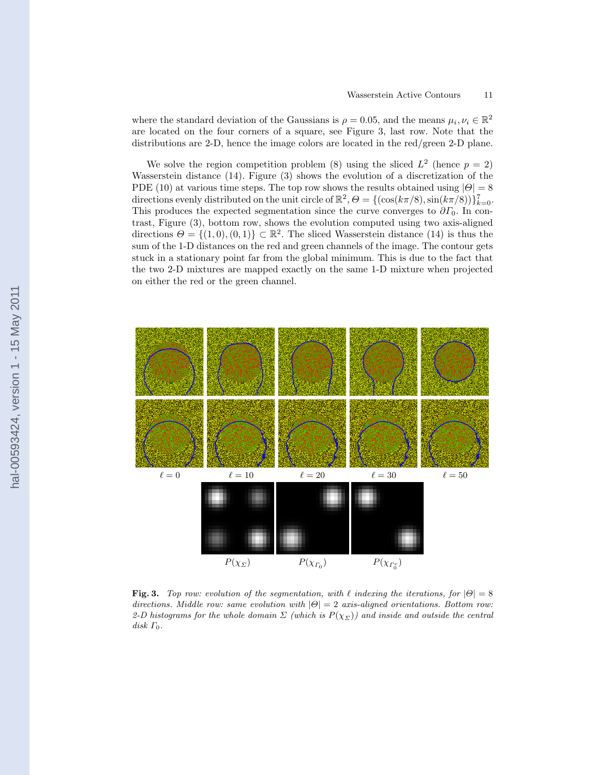where the standard deviation of the Gaussians is  $\rho = 0.05$ , and the means  $\mu_i, \nu_i \in \mathbb{R}^2$ are located on the four corners of a square, see Figure 3, last row. Note that the distributions are 2-D, hence the image colors are located in the red/green 2-D plane.

We solve the region competition problem (8) using the sliced  $L^2$  (hence  $p = 2$ ) Wasserstein distance (14). Figure (3) shows the evolution of a discretization of the PDE (10) at various time steps. The top row shows the results obtained using  $|\Theta| = 8$ directions evenly distributed on the unit circle of  $\mathbb{R}^2$ ,  $\Theta = \{(\cos(k\pi/8), \sin(k\pi/8))\}_{k=0}^7$ . This produces the expected segmentation since the curve converges to  $\partial \Gamma_0$ . In contrast, Figure (3), bottom row, shows the evolution computed using two axis-aligned directions  $\Theta = \{(1,0), (0,1)\} \subset \mathbb{R}^2$ . The sliced Wasserstein distance (14) is thus the sum of the 1-D distances on the red and green channels of the image. The contour gets stuck in a stationary point far from the global minimum. This is due to the fact that the two 2-D mixtures are mapped exactly on the same 1-D mixture when projected on either the red or the green channel.



Fig. 3. Top row: evolution of the segmentation, with  $\ell$  indexing the iterations, for  $|\Theta| = 8$ directions. Middle row: same evolution with  $|\Theta|=2$  axis-aligned orientations. Bottom row: 2-D histograms for the whole domain  $\Sigma$  (which is  $P(\chi_{\Sigma})$ ) and inside and outside the central disk  $\Gamma_0$ .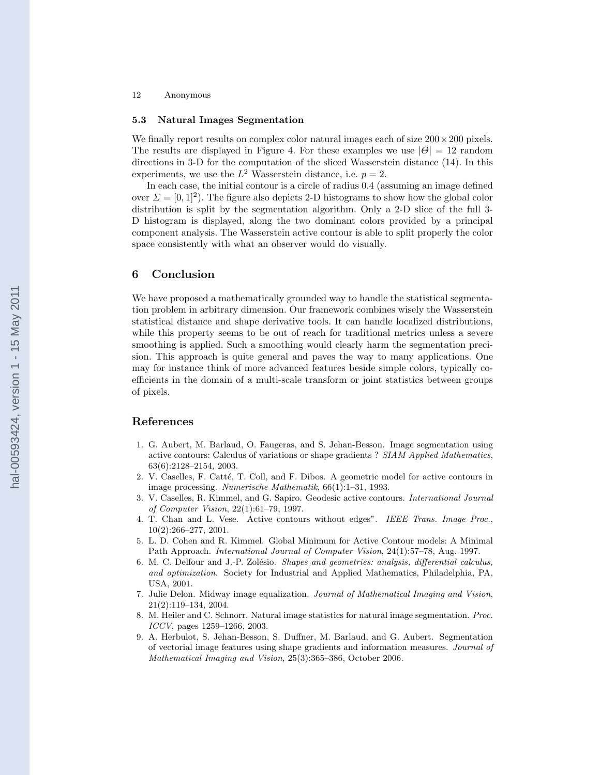#### 5.3 Natural Images Segmentation

We finally report results on complex color natural images each of size  $200 \times 200$  pixels. The results are displayed in Figure 4. For these examples we use  $|\Theta| = 12$  random directions in 3-D for the computation of the sliced Wasserstein distance (14). In this experiments, we use the  $L^2$  Wasserstein distance, i.e.  $p = 2$ .

In each case, the initial contour is a circle of radius 0.4 (assuming an image defined over  $\Sigma = [0, 1]^2$ ). The figure also depicts 2-D histograms to show how the global color distribution is split by the segmentation algorithm. Only a 2-D slice of the full 3- D histogram is displayed, along the two dominant colors provided by a principal component analysis. The Wasserstein active contour is able to split properly the color space consistently with what an observer would do visually.

## 6 Conclusion

We have proposed a mathematically grounded way to handle the statistical segmentation problem in arbitrary dimension. Our framework combines wisely the Wasserstein statistical distance and shape derivative tools. It can handle localized distributions, while this property seems to be out of reach for traditional metrics unless a severe smoothing is applied. Such a smoothing would clearly harm the segmentation precision. This approach is quite general and paves the way to many applications. One may for instance think of more advanced features beside simple colors, typically coefficients in the domain of a multi-scale transform or joint statistics between groups of pixels.

## References

- 1. G. Aubert, M. Barlaud, O. Faugeras, and S. Jehan-Besson. Image segmentation using active contours: Calculus of variations or shape gradients ? SIAM Applied Mathematics, 63(6):2128–2154, 2003.
- 2. V. Caselles, F. Catté, T. Coll, and F. Dibos. A geometric model for active contours in image processing. Numerische Mathematik, 66(1):1–31, 1993.
- 3. V. Caselles, R. Kimmel, and G. Sapiro. Geodesic active contours. International Journal of Computer Vision, 22(1):61–79, 1997.
- 4. T. Chan and L. Vese. Active contours without edges". IEEE Trans. Image Proc., 10(2):266–277, 2001.
- 5. L. D. Cohen and R. Kimmel. Global Minimum for Active Contour models: A Minimal Path Approach. International Journal of Computer Vision, 24(1):57–78, Aug. 1997.
- 6. M. C. Delfour and J.-P. Zolésio. Shapes and geometries: analysis, differential calculus, and optimization. Society for Industrial and Applied Mathematics, Philadelphia, PA, USA, 2001.
- 7. Julie Delon. Midway image equalization. Journal of Mathematical Imaging and Vision, 21(2):119–134, 2004.
- 8. M. Heiler and C. Schnorr. Natural image statistics for natural image segmentation. Proc. ICCV, pages 1259–1266, 2003.
- 9. A. Herbulot, S. Jehan-Besson, S. Duffner, M. Barlaud, and G. Aubert. Segmentation of vectorial image features using shape gradients and information measures. Journal of Mathematical Imaging and Vision, 25(3):365–386, October 2006.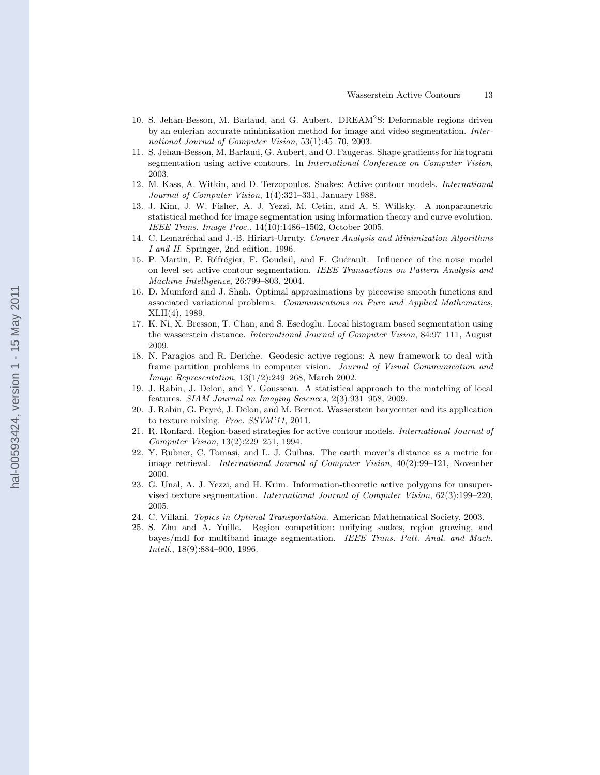- 10. S. Jehan-Besson, M. Barlaud, and G. Aubert. DREAM<sup>2</sup>S: Deformable regions driven by an eulerian accurate minimization method for image and video segmentation. International Journal of Computer Vision, 53(1):45–70, 2003.
- 11. S. Jehan-Besson, M. Barlaud, G. Aubert, and O. Faugeras. Shape gradients for histogram segmentation using active contours. In International Conference on Computer Vision, 2003.
- 12. M. Kass, A. Witkin, and D. Terzopoulos. Snakes: Active contour models. International Journal of Computer Vision, 1(4):321–331, January 1988.
- 13. J. Kim, J. W. Fisher, A. J. Yezzi, M. Cetin, and A. S. Willsky. A nonparametric statistical method for image segmentation using information theory and curve evolution. IEEE Trans. Image Proc., 14(10):1486–1502, October 2005.
- 14. C. Lemaréchal and J.-B. Hiriart-Urruty. Convex Analysis and Minimization Algorithms I and II. Springer, 2nd edition, 1996.
- 15. P. Martin, P. Réfrégier, F. Goudail, and F. Guérault. Influence of the noise model on level set active contour segmentation. IEEE Transactions on Pattern Analysis and Machine Intelligence, 26:799–803, 2004.
- 16. D. Mumford and J. Shah. Optimal approximations by piecewise smooth functions and associated variational problems. Communications on Pure and Applied Mathematics, XLII(4), 1989.
- 17. K. Ni, X. Bresson, T. Chan, and S. Esedoglu. Local histogram based segmentation using the wasserstein distance. International Journal of Computer Vision, 84:97–111, August 2009.
- 18. N. Paragios and R. Deriche. Geodesic active regions: A new framework to deal with frame partition problems in computer vision. Journal of Visual Communication and Image Representation, 13(1/2):249–268, March 2002.
- 19. J. Rabin, J. Delon, and Y. Gousseau. A statistical approach to the matching of local features. SIAM Journal on Imaging Sciences, 2(3):931–958, 2009.
- 20. J. Rabin, G. Peyré, J. Delon, and M. Bernot. Wasserstein barycenter and its application to texture mixing. Proc. SSVM'11, 2011.
- 21. R. Ronfard. Region-based strategies for active contour models. International Journal of Computer Vision, 13(2):229–251, 1994.
- 22. Y. Rubner, C. Tomasi, and L. J. Guibas. The earth mover's distance as a metric for image retrieval. International Journal of Computer Vision, 40(2):99–121, November 2000.
- 23. G. Unal, A. J. Yezzi, and H. Krim. Information-theoretic active polygons for unsupervised texture segmentation. International Journal of Computer Vision, 62(3):199–220, 2005.
- 24. C. Villani. Topics in Optimal Transportation. American Mathematical Society, 2003.
- 25. S. Zhu and A. Yuille. Region competition: unifying snakes, region growing, and bayes/mdl for multiband image segmentation. IEEE Trans. Patt. Anal. and Mach. Intell., 18(9):884–900, 1996.